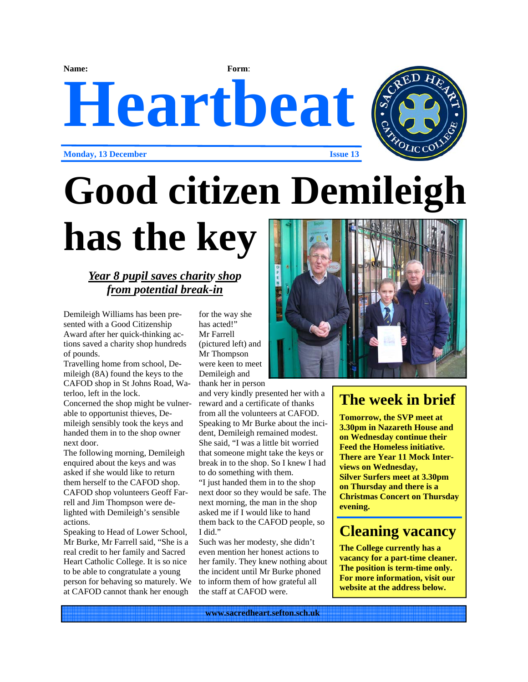**Name: Form**:

# **Heartbeat**



**Monday, 13 December Issue 13** 

## **Good citizen Demileigh**

### **has the key**

#### *Year 8 pupil saves charity shop from potential break-in*

Demileigh Williams has been presented with a Good Citizenship Award after her quick-thinking actions saved a charity shop hundreds of pounds.

Travelling home from school, Demileigh (8A) found the keys to the CAFOD shop in St Johns Road, Waterloo, left in the lock.

Concerned the shop might be vulnerable to opportunist thieves, Demileigh sensibly took the keys and handed them in to the shop owner next door.

The following morning, Demileigh enquired about the keys and was asked if she would like to return them herself to the CAFOD shop. CAFOD shop volunteers Geoff Farrell and Jim Thompson were delighted with Demileigh's sensible actions.

Speaking to Head of Lower School, Mr Burke, Mr Farrell said, "She is a real credit to her family and Sacred Heart Catholic College. It is so nice to be able to congratulate a young person for behaving so maturely. We at CAFOD cannot thank her enough

for the way she has acted!" Mr Farrell (pictured left) and Mr Thompson were keen to meet Demileigh and thank her in person

and very kindly presented her with a reward and a certificate of thanks from all the volunteers at CAFOD. Speaking to Mr Burke about the incident, Demileigh remained modest. She said, "I was a little bit worried that someone might take the keys or break in to the shop. So I knew I had to do something with them. "I just handed them in to the shop next door so they would be safe. The next morning, the man in the shop asked me if I would like to hand them back to the CAFOD people, so I did."

Such was her modesty, she didn't even mention her honest actions to her family. They knew nothing about the incident until Mr Burke phoned to inform them of how grateful all the staff at CAFOD were.



#### **The week in brief**

**Tomorrow, the SVP meet at 3.30pm in Nazareth House and on Wednesday continue their Feed the Homeless initiative. There are Year 11 Mock Interviews on Wednesday, Silver Surfers meet at 3.30pm on Thursday and there is a Christmas Concert on Thursday evening.** 

#### **Cleaning vacancy**

**The College currently has a vacancy for a part-time cleaner. The position is term-time only. For more information, visit our website at the address below.**